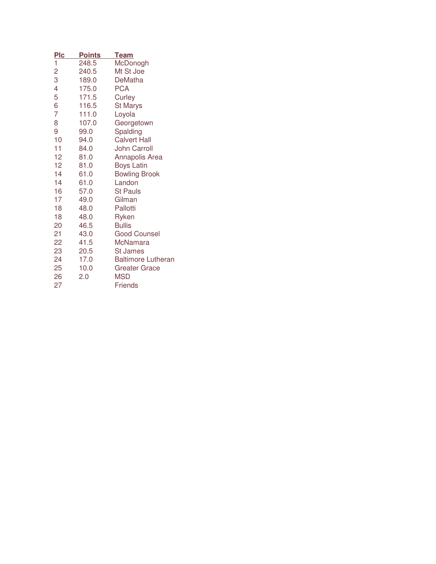| <u>Plc</u>     | <b>Points</b> | <b>Team</b>               |
|----------------|---------------|---------------------------|
| 1              | 248.5         | McDonogh                  |
| $\overline{c}$ | 240.5         | Mt St Joe                 |
| 3              | 189.0         | <b>DeMatha</b>            |
| 4              | 175.0         | <b>PCA</b>                |
| 5              | 171.5         | Curley                    |
| 6              | 116.5         | <b>St Marys</b>           |
| 7              | 111.0         | Loyola                    |
| 8              | 107.0         | Georgetown                |
| 9              | 99.0          | Spalding                  |
| 10             | 94.0          | <b>Calvert Hall</b>       |
| 11             | 84.0          | <b>John Carroll</b>       |
| 12             | 81.0          | <b>Annapolis Area</b>     |
| 12             | 81.0          | <b>Boys Latin</b>         |
| 14             | 61.0          | <b>Bowling Brook</b>      |
| 14             | 61.0          | Landon                    |
| 16             | 57.0          | <b>St Pauls</b>           |
| 17             | 49.0          | Gilman                    |
| 18             | 48.0          | Pallotti                  |
| 18             | 48.0          | Ryken                     |
| 20             | 46.5          | <b>Bullis</b>             |
| 21             | 43.0          | <b>Good Counsel</b>       |
| 22             | 41.5          | <b>McNamara</b>           |
| 23             | 20.5          | <b>St James</b>           |
| 24             | 17.0          | <b>Baltimore Lutheran</b> |
| 25             | 10.0          | Greater Grace             |
| 26             | 2.0           | MSD                       |
| 27             |               | <b>Friends</b>            |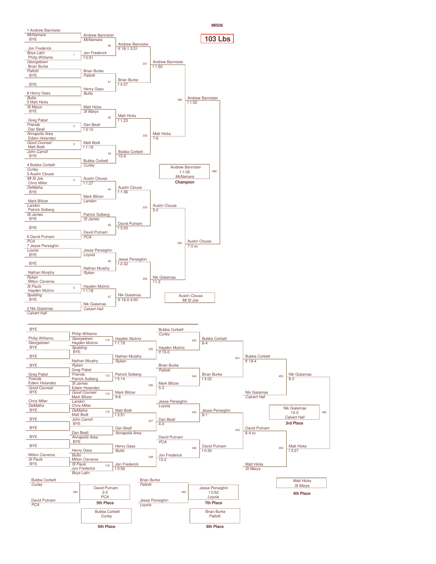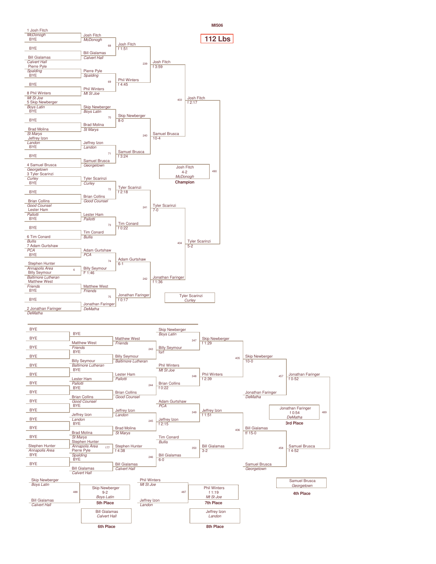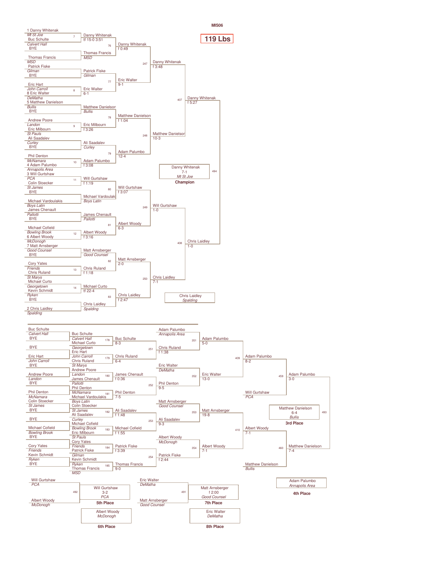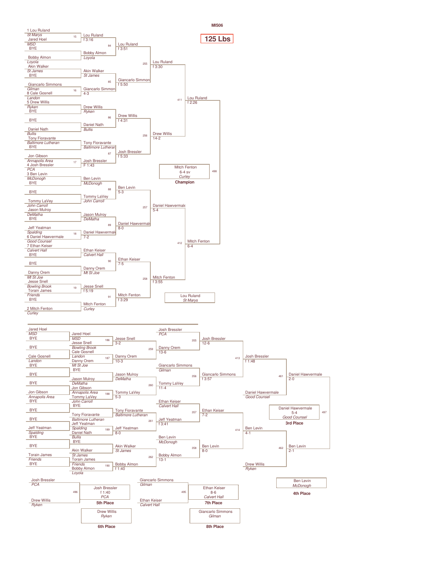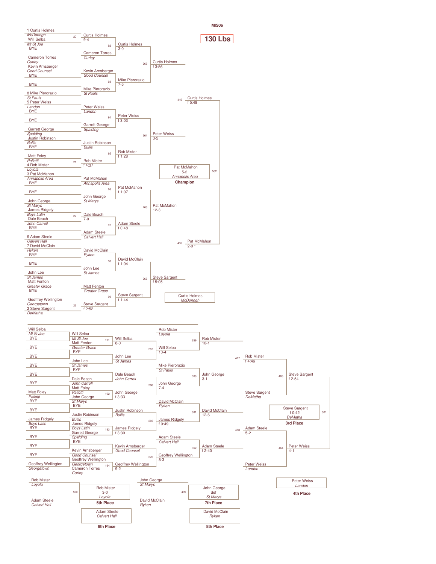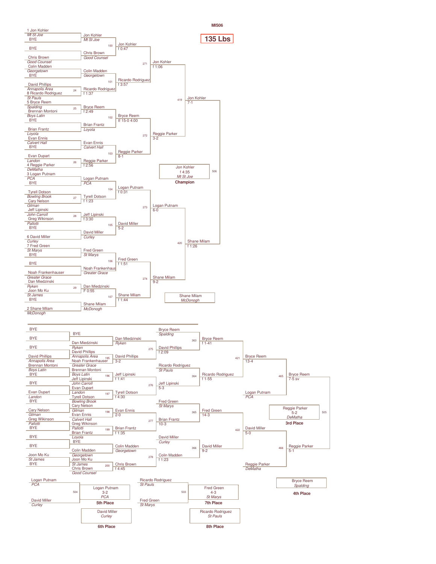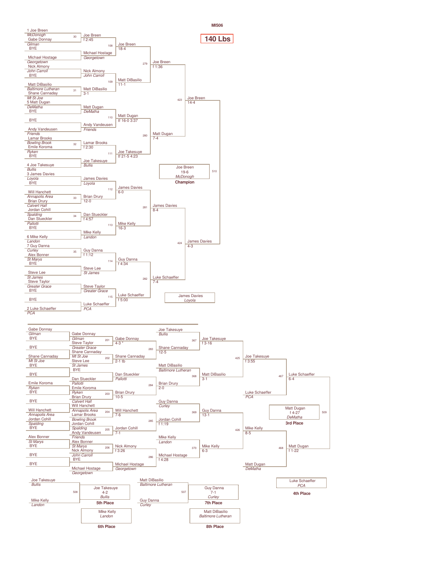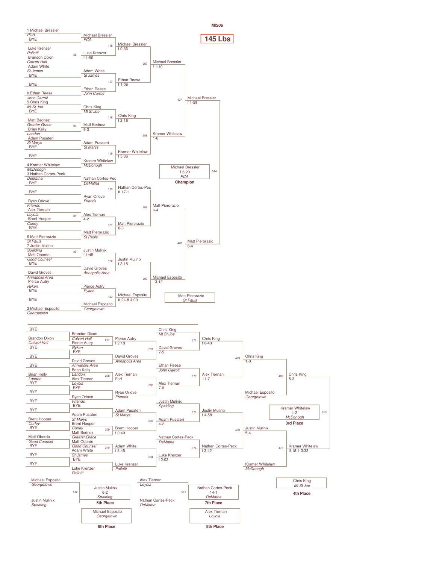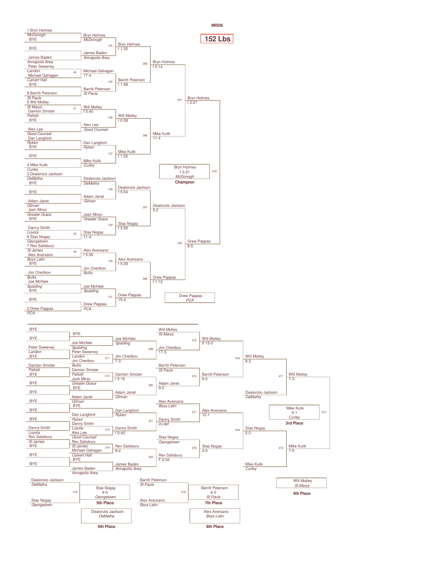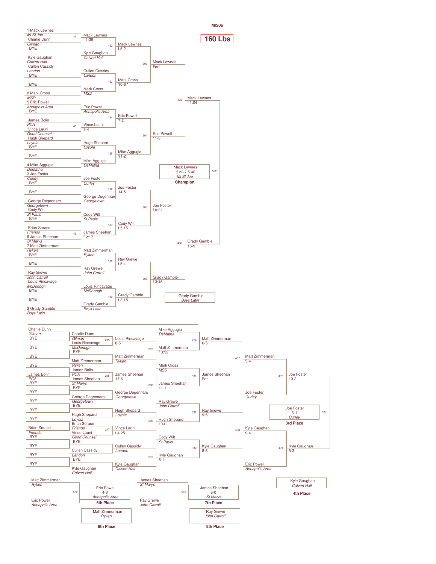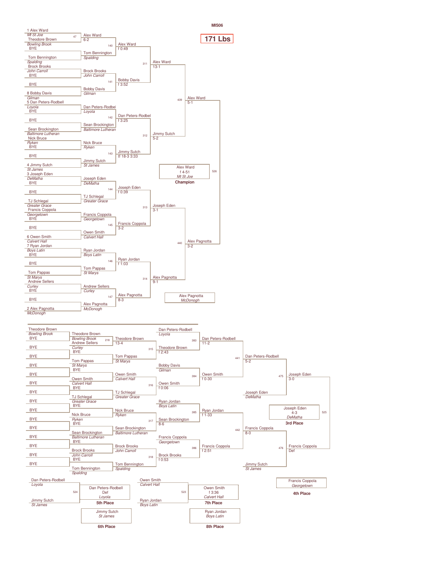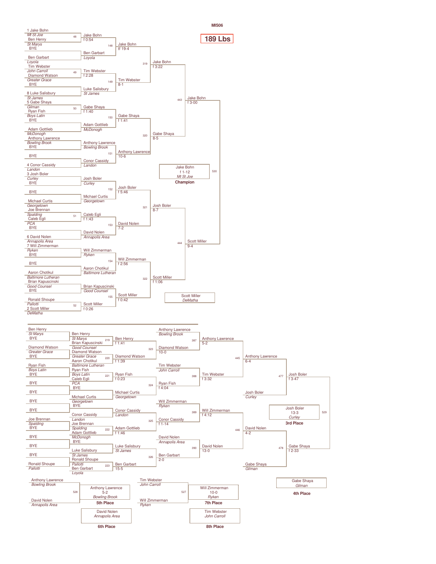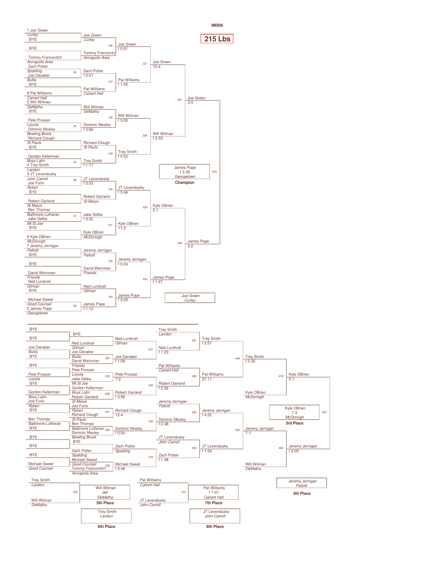